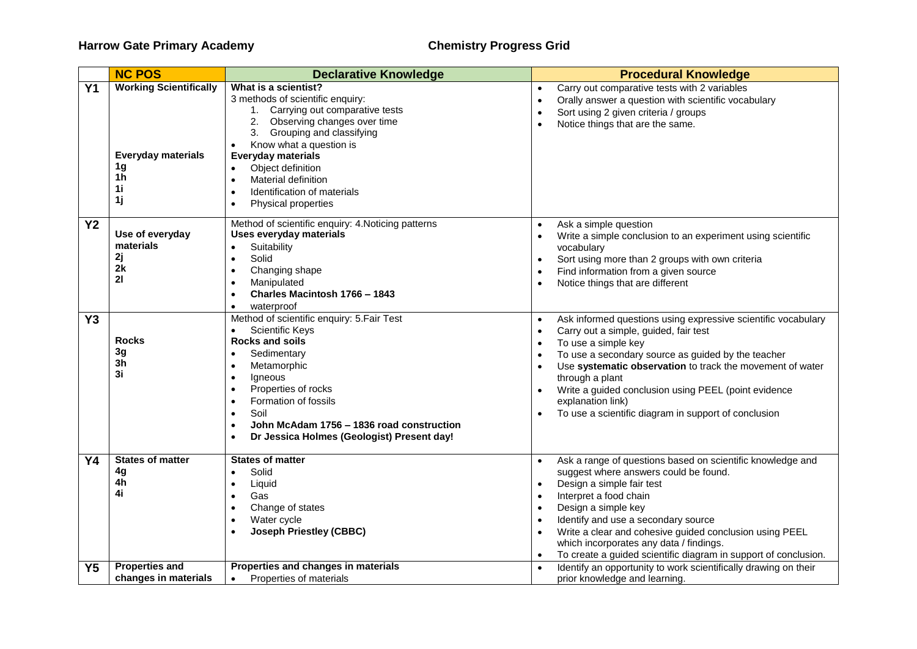## **Harrow Gate Primary Academy Chemistry Progress Grid**

|                | <b>NC POS</b>                                                                                              | <b>Declarative Knowledge</b>                                                                                                                                                                                                                                                                                                                                                                                   | <b>Procedural Knowledge</b>                                                                                                                                                                                                                                                                                                                                                                                                                                               |
|----------------|------------------------------------------------------------------------------------------------------------|----------------------------------------------------------------------------------------------------------------------------------------------------------------------------------------------------------------------------------------------------------------------------------------------------------------------------------------------------------------------------------------------------------------|---------------------------------------------------------------------------------------------------------------------------------------------------------------------------------------------------------------------------------------------------------------------------------------------------------------------------------------------------------------------------------------------------------------------------------------------------------------------------|
| <b>Y1</b>      | <b>Working Scientifically</b><br><b>Everyday materials</b><br>1 <sub>g</sub><br>1 <sub>h</sub><br>1i<br>1j | What is a scientist?<br>3 methods of scientific enquiry:<br>1. Carrying out comparative tests<br>2. Observing changes over time<br>3. Grouping and classifying<br>Know what a question is<br>$\bullet$<br><b>Everyday materials</b><br>Object definition<br>$\bullet$<br><b>Material definition</b><br>$\bullet$<br>Identification of materials<br>$\bullet$<br>Physical properties<br>$\bullet$               | Carry out comparative tests with 2 variables<br>$\bullet$<br>Orally answer a question with scientific vocabulary<br>$\bullet$<br>Sort using 2 given criteria / groups<br>$\bullet$<br>Notice things that are the same.<br>$\bullet$                                                                                                                                                                                                                                       |
| <b>Y2</b>      | Use of everyday<br>materials<br>2j<br>2k<br>21                                                             | Method of scientific enquiry: 4. Noticing patterns<br>Uses everyday materials<br>Suitability<br>$\bullet$<br>Solid<br>$\bullet$<br>Changing shape<br>$\bullet$<br>Manipulated<br>$\bullet$<br>Charles Macintosh 1766 - 1843<br>$\bullet$<br>waterproof<br>$\bullet$                                                                                                                                            | Ask a simple question<br>$\bullet$<br>Write a simple conclusion to an experiment using scientific<br>$\bullet$<br>vocabulary<br>Sort using more than 2 groups with own criteria<br>$\bullet$<br>Find information from a given source<br>$\bullet$<br>Notice things that are different<br>$\bullet$                                                                                                                                                                        |
| Y <sub>3</sub> | <b>Rocks</b><br>3g<br>3h<br>3i                                                                             | Method of scientific enquiry: 5. Fair Test<br><b>Scientific Keys</b><br>$\bullet$<br><b>Rocks and soils</b><br>Sedimentary<br>$\bullet$<br>Metamorphic<br>$\bullet$<br>Igneous<br>$\bullet$<br>Properties of rocks<br>$\bullet$<br>Formation of fossils<br>$\bullet$<br>Soil<br>$\bullet$<br>John McAdam 1756 – 1836 road construction<br>$\bullet$<br>Dr Jessica Holmes (Geologist) Present day!<br>$\bullet$ | Ask informed questions using expressive scientific vocabulary<br>$\bullet$<br>Carry out a simple, guided, fair test<br>$\bullet$<br>To use a simple key<br>$\bullet$<br>To use a secondary source as guided by the teacher<br>$\bullet$<br>Use systematic observation to track the movement of water<br>$\bullet$<br>through a plant<br>Write a guided conclusion using PEEL (point evidence<br>explanation link)<br>To use a scientific diagram in support of conclusion |
| <b>Y4</b>      | <b>States of matter</b><br>4g<br>4h<br>4i                                                                  | <b>States of matter</b><br>Solid<br>$\bullet$<br>Liquid<br>$\bullet$<br>Gas<br>$\bullet$<br>Change of states<br>$\bullet$<br>Water cycle<br>$\bullet$<br><b>Joseph Priestley (CBBC)</b><br>$\bullet$                                                                                                                                                                                                           | Ask a range of questions based on scientific knowledge and<br>suggest where answers could be found.<br>Design a simple fair test<br>$\bullet$<br>Interpret a food chain<br>$\bullet$<br>Design a simple key<br>$\bullet$<br>Identify and use a secondary source<br>$\bullet$<br>Write a clear and cohesive guided conclusion using PEEL<br>$\bullet$<br>which incorporates any data / findings.<br>To create a guided scientific diagram in support of conclusion.        |
| Y <sub>5</sub> | <b>Properties and</b><br>changes in materials                                                              | Properties and changes in materials<br>Properties of materials<br>$\bullet$                                                                                                                                                                                                                                                                                                                                    | Identify an opportunity to work scientifically drawing on their<br>prior knowledge and learning.                                                                                                                                                                                                                                                                                                                                                                          |